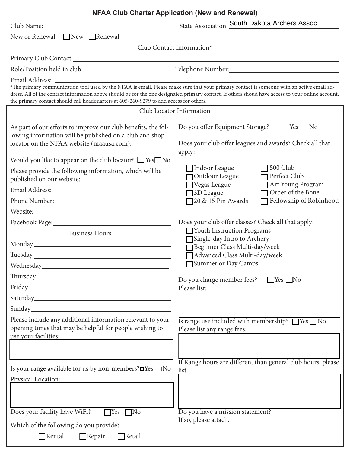|                                                                                                                                                                                                                                     | <b>NFAA Club Charter Application (New and Renewal)</b>                                                                                                                                                                                                          |
|-------------------------------------------------------------------------------------------------------------------------------------------------------------------------------------------------------------------------------------|-----------------------------------------------------------------------------------------------------------------------------------------------------------------------------------------------------------------------------------------------------------------|
| Club Name:                                                                                                                                                                                                                          | State Association: South Dakota Archers Assoc                                                                                                                                                                                                                   |
| New or Renewal: □New □Renewal                                                                                                                                                                                                       |                                                                                                                                                                                                                                                                 |
|                                                                                                                                                                                                                                     | Club Contact Information*                                                                                                                                                                                                                                       |
|                                                                                                                                                                                                                                     |                                                                                                                                                                                                                                                                 |
|                                                                                                                                                                                                                                     |                                                                                                                                                                                                                                                                 |
| Email Address:                                                                                                                                                                                                                      |                                                                                                                                                                                                                                                                 |
| *The primary communication tool used by the NFAA is email. Please make sure that your primary contact is someone with an active email ad-<br>the primary contact should call headquarters at 605-260-9279 to add access for others. | dress. All of the contact information above should be for the one designated primary contact. If others shoud have access to your online account,                                                                                                               |
|                                                                                                                                                                                                                                     | Club Locator Information                                                                                                                                                                                                                                        |
| As part of our efforts to improve our club benefits, the fol-<br>lowing information will be published on a club and shop<br>locator on the NFAA website (nfaausa.com):                                                              | Do you offer Equipment Storage?<br>$\Box$ Yes $\Box$ No<br>Does your club offer leagues and awards? Check all that<br>apply:                                                                                                                                    |
| Would you like to appear on the club locator? $\Box$ Yes $\Box$ No                                                                                                                                                                  |                                                                                                                                                                                                                                                                 |
| Please provide the following information, which will be<br>published on our website:                                                                                                                                                | 500 Club<br>Indoor League<br>Perfect Club<br>Outdoor League<br>Art Young Program                                                                                                                                                                                |
| Email Address: No. 1998                                                                                                                                                                                                             | Vegas League<br>Order of the Bone<br>3D League                                                                                                                                                                                                                  |
|                                                                                                                                                                                                                                     | Fellowship of Robinhood<br>20 & 15 Pin Awards                                                                                                                                                                                                                   |
| Website:                                                                                                                                                                                                                            |                                                                                                                                                                                                                                                                 |
| Facebook Page: National Contract of Page 2014<br><b>Business Hours:</b>                                                                                                                                                             | Does your club offer classes? Check all that apply:<br>Vouth Instruction Programs<br>Single-day Intro to Archery<br>Beginner Class Multi-day/week<br>Advanced Class Multi-day/week<br>Summer or Day Camps<br>Do you charge member fees?<br>$\Box$ Yes $\Box$ No |
|                                                                                                                                                                                                                                     | Please list:                                                                                                                                                                                                                                                    |
|                                                                                                                                                                                                                                     |                                                                                                                                                                                                                                                                 |
| Please include any additional information relevant to your<br>opening times that may be helpful for people wishing to<br>use your facilities:                                                                                       | Is range use included with membership? TYes No<br>Please list any range fees:                                                                                                                                                                                   |
| Is your range available for us by non-members? OYes □No                                                                                                                                                                             | If Range hours are different than general club hours, please<br>list:                                                                                                                                                                                           |
| Physical Location:<br>Does your facility have WiFi?<br>$\Gamma$ Yes<br>$\neg$ No<br>Which of the following do you provide?<br>$\Box$ Retail                                                                                         | Do you have a mission statement?<br>If so, please attach.                                                                                                                                                                                                       |
| $\Box$ Rental<br>$\Box$ Repair                                                                                                                                                                                                      |                                                                                                                                                                                                                                                                 |